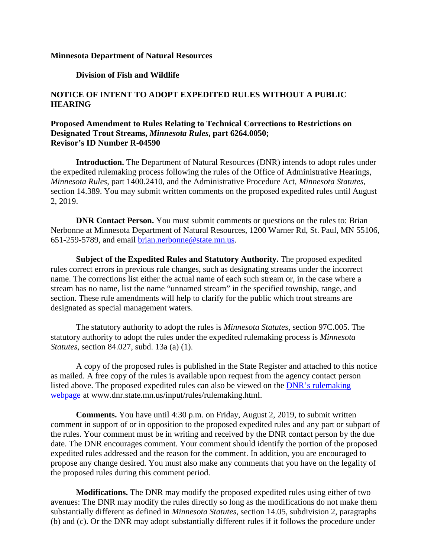## **Minnesota Department of Natural Resources**

## **Division of Fish and Wildlife**

## **NOTICE OF INTENT TO ADOPT EXPEDITED RULES WITHOUT A PUBLIC HEARING**

## **Proposed Amendment to Rules Relating to Technical Corrections to Restrictions on Designated Trout Streams,** *Minnesota Rules***, part 6264.0050; Revisor's ID Number R-04590**

**Introduction.** The Department of Natural Resources (DNR) intends to adopt rules under the expedited rulemaking process following the rules of the Office of Administrative Hearings, *Minnesota Rules*, part 1400.2410, and the Administrative Procedure Act, *Minnesota Statutes*, section 14.389. You may submit written comments on the proposed expedited rules until August 2, 2019.

**DNR Contact Person.** You must submit comments or questions on the rules to: Brian Nerbonne at Minnesota Department of Natural Resources, 1200 Warner Rd, St. Paul, MN 55106, 651-259-5789, and email [brian.nerbonne@state.mn.us.](mailto:brian.nerbonne@state.mn.us)

**Subject of the Expedited Rules and Statutory Authority.** The proposed expedited rules correct errors in previous rule changes, such as designating streams under the incorrect name. The corrections list either the actual name of each such stream or, in the case where a stream has no name, list the name "unnamed stream" in the specified township, range, and section. These rule amendments will help to clarify for the public which trout streams are designated as special management waters.

The statutory authority to adopt the rules is *Minnesota Statutes*, section 97C.005. The statutory authority to adopt the rules under the expedited rulemaking process is *Minnesota Statutes*, section 84.027, subd. 13a (a) (1).

A copy of the proposed rules is published in the State Register and attached to this notice as mailed. A free copy of the rules is available upon request from the agency contact person listed above. The proposed expedited rules can also be viewed on the [DNR's rulemaking](http://www.dnr.state.mn.us/input/rules/index.html)  [webpage](http://www.dnr.state.mn.us/input/rules/index.html) at www.dnr.state.mn.us/input/rules/rulemaking.html.

**Comments.** You have until 4:30 p.m. on Friday, August 2, 2019, to submit written comment in support of or in opposition to the proposed expedited rules and any part or subpart of the rules. Your comment must be in writing and received by the DNR contact person by the due date. The DNR encourages comment. Your comment should identify the portion of the proposed expedited rules addressed and the reason for the comment. In addition, you are encouraged to propose any change desired. You must also make any comments that you have on the legality of the proposed rules during this comment period.

**Modifications.** The DNR may modify the proposed expedited rules using either of two avenues: The DNR may modify the rules directly so long as the modifications do not make them substantially different as defined in *Minnesota Statutes*, section 14.05, subdivision 2, paragraphs (b) and (c). Or the DNR may adopt substantially different rules if it follows the procedure under